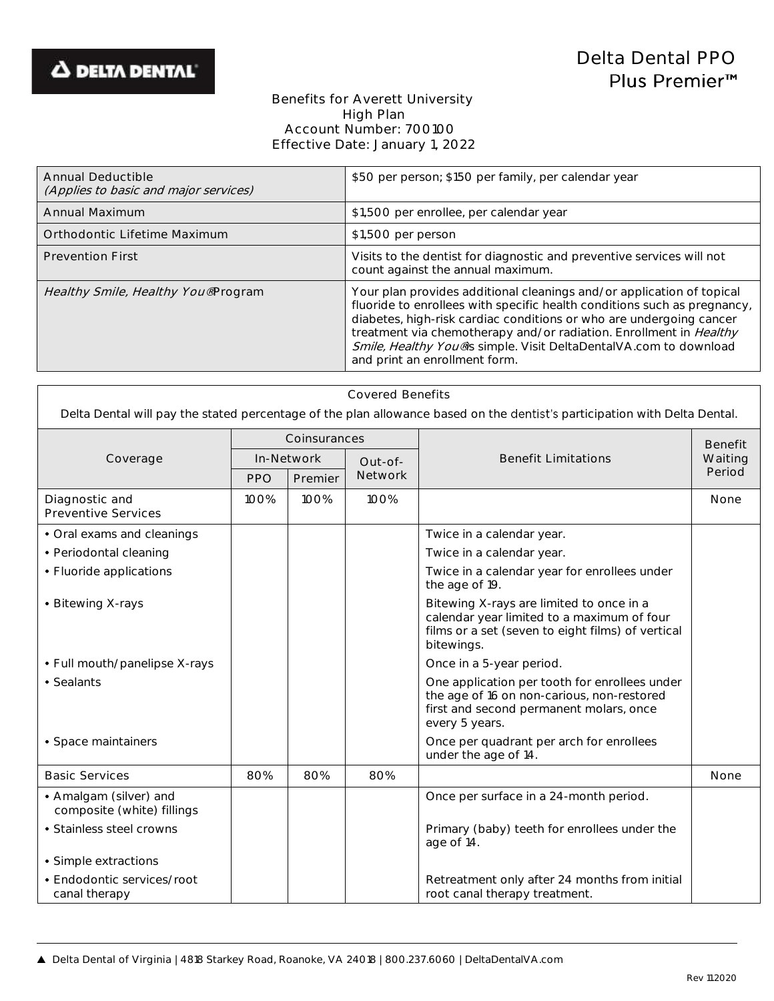

## Benefits for Averett University High Plan Account Number: 700100 Effective Date: January 1, 2022

| Annual Deductible<br>(Applies to basic and major services) | \$50 per person; \$150 per family, per calendar year                                                                                                                                                                                                                                                                                                                                                  |
|------------------------------------------------------------|-------------------------------------------------------------------------------------------------------------------------------------------------------------------------------------------------------------------------------------------------------------------------------------------------------------------------------------------------------------------------------------------------------|
| Annual Maximum                                             | \$1,500 per enrollee, per calendar year                                                                                                                                                                                                                                                                                                                                                               |
| Orthodontic Lifetime Maximum                               | \$1,500 per person                                                                                                                                                                                                                                                                                                                                                                                    |
| <b>Prevention First</b>                                    | Visits to the dentist for diagnostic and preventive services will not<br>count against the annual maximum.                                                                                                                                                                                                                                                                                            |
| Healthy Smile, Healthy You® Program                        | Your plan provides additional cleanings and/or application of topical<br>fluoride to enrollees with specific health conditions such as pregnancy,<br>diabetes, high-risk cardiac conditions or who are undergoing cancer<br>treatment via chemotherapy and/or radiation. Enrollment in Healthy<br>Smile, Healthy You® is simple. Visit DeltaDentalVA.com to download<br>and print an enrollment form. |

| <b>Covered Benefits</b> |  |
|-------------------------|--|
|                         |  |

Delta Dental will pay the stated percentage of the plan allowance based on the dentist's participation with Delta Dental.

|                                                      | Coinsurances |         |                                                                                                                                                           | <b>Benefit Limitations</b>                                                                                                                               | <b>Benefit</b><br>Waiting |
|------------------------------------------------------|--------------|---------|-----------------------------------------------------------------------------------------------------------------------------------------------------------|----------------------------------------------------------------------------------------------------------------------------------------------------------|---------------------------|
| Coverage                                             | In-Network   |         | Out-of-                                                                                                                                                   |                                                                                                                                                          |                           |
|                                                      | <b>PPO</b>   | Premier | <b>Network</b>                                                                                                                                            |                                                                                                                                                          | Period                    |
| Diagnostic and<br>Preventive Services                | 100%         | 100%    | 100%                                                                                                                                                      |                                                                                                                                                          | None                      |
| • Oral exams and cleanings                           |              |         |                                                                                                                                                           | Twice in a calendar year.                                                                                                                                |                           |
| • Periodontal cleaning                               |              |         |                                                                                                                                                           | Twice in a calendar year.                                                                                                                                |                           |
| • Fluoride applications                              |              |         |                                                                                                                                                           | Twice in a calendar year for enrollees under<br>the age of 19.                                                                                           |                           |
| • Bitewing X-rays                                    |              |         | Bitewing X-rays are limited to once in a<br>calendar year limited to a maximum of four<br>films or a set (seven to eight films) of vertical<br>bitewings. |                                                                                                                                                          |                           |
| • Full mouth/panelipse X-rays                        |              |         |                                                                                                                                                           | Once in a 5-year period.                                                                                                                                 |                           |
| • Sealants                                           |              |         |                                                                                                                                                           | One application per tooth for enrollees under<br>the age of 16 on non-carious, non-restored<br>first and second permanent molars, once<br>every 5 years. |                           |
| • Space maintainers                                  |              |         |                                                                                                                                                           | Once per quadrant per arch for enrollees<br>under the age of 14.                                                                                         |                           |
| <b>Basic Services</b>                                | 80%          | 80%     | 80%                                                                                                                                                       |                                                                                                                                                          | None                      |
| • Amalgam (silver) and<br>composite (white) fillings |              |         |                                                                                                                                                           | Once per surface in a 24-month period.                                                                                                                   |                           |
| • Stainless steel crowns                             |              |         |                                                                                                                                                           | Primary (baby) teeth for enrollees under the<br>age of 14.                                                                                               |                           |
| • Simple extractions                                 |              |         |                                                                                                                                                           |                                                                                                                                                          |                           |
| • Endodontic services/root<br>canal therapy          |              |         |                                                                                                                                                           | Retreatment only after 24 months from initial<br>root canal therapy treatment.                                                                           |                           |